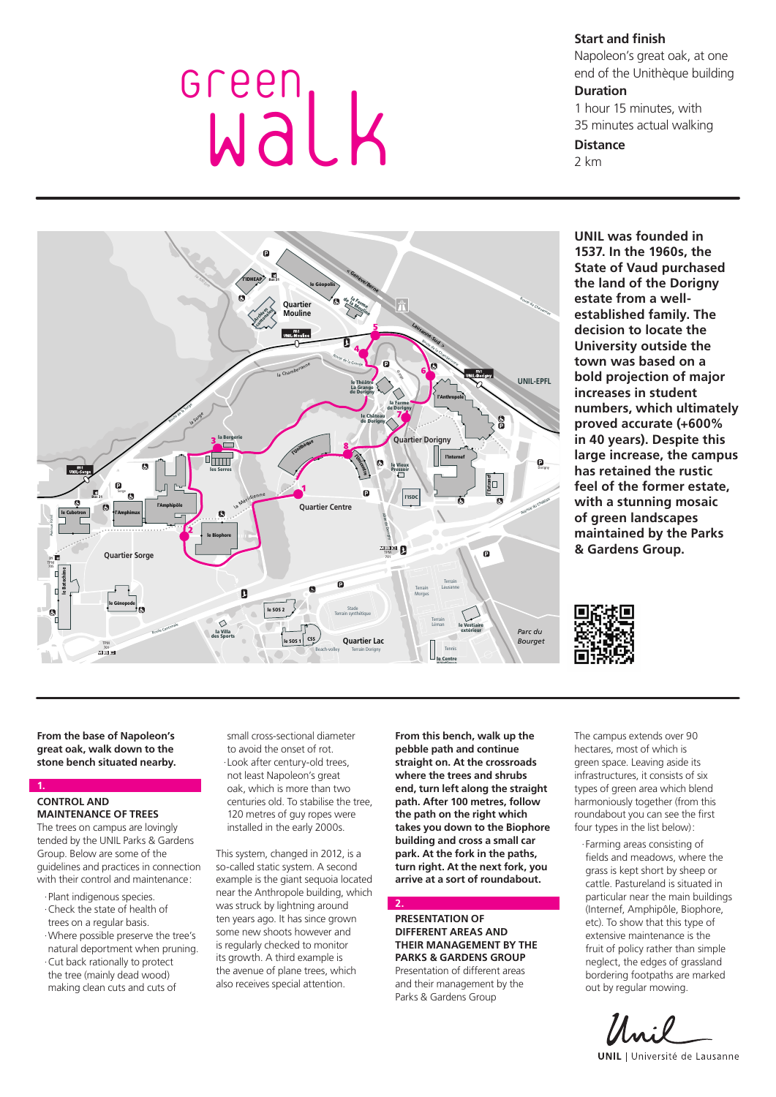# Green<br>Walk

**Start and finish** 

Napoleon's great oak, at one end of the Unithèque building

# **Duration**

1 hour 15 minutes, with 35 minutes actual walking

# **Distance**

2 km



**UNIL was founded in 1537. In the 1960s, the State of Vaud purchased the land of the Dorigny estate from a wellestablished family. The decision to locate the University outside the town was based on a bold projection of major increases in student numbers, which ultimately proved accurate (+600% in 40 years). Despite this large increase, the campus has retained the rustic feel of the former estate, with a stunning mosaic of green landscapes maintained by the Parks & Gardens Group.**



**From the base of Napoleon's great oak, walk down to the stone bench situated nearby.**

### **1. CONTROL AND MAINTENANCE OF TREES**

The trees on campus are lovingly tended by the UNIL Parks & Gardens Group. Below are some of the guidelines and practices in connection with their control and maintenance:

·Plant indigenous species. ·Check the state of health of trees on a regular basis. ·Where possible preserve the tree's natural deportment when pruning. ·Cut back rationally to protect the tree (mainly dead wood) making clean cuts and cuts of

small cross-sectional diameter to avoid the onset of rot. ·Look after century-old trees, not least Napoleon's great oak, which is more than two centuries old. To stabilise the tree, 120 metres of guy ropes were installed in the early 2000s.

This system, changed in 2012, is a so-called static system. A second example is the giant sequoia located near the Anthropole building, which was struck by lightning around ten years ago. It has since grown some new shoots however and is regularly checked to monitor its growth. A third example is the avenue of plane trees, which also receives special attention.

**From this bench, walk up the pebble path and continue straight on. At the crossroads where the trees and shrubs end, turn left along the straight path. After 100 metres, follow the path on the right which takes you down to the Biophore building and cross a small car park. At the fork in the paths, turn right. At the next fork, you arrive at a sort of roundabout.**

### **2. PRESENTATION OF DIFFERENT AREAS AND THEIR MANAGEMENT BY THE PARKS & GARDENS GROUP**

Presentation of different areas and their management by the Parks & Gardens Group

The campus extends over 90 hectares, most of which is green space. Leaving aside its infrastructures, it consists of six types of green area which blend harmoniously together (from this roundabout you can see the first four types in the list below):

·Farming areas consisting of fields and meadows, where the grass is kept short by sheep or cattle. Pastureland is situated in particular near the main buildings (Internef, Amphipôle, Biophore, etc). To show that this type of extensive maintenance is the fruit of policy rather than simple neglect, the edges of grassland bordering footpaths are marked out by regular mowing.

**UNIL** | Université de Lausanne